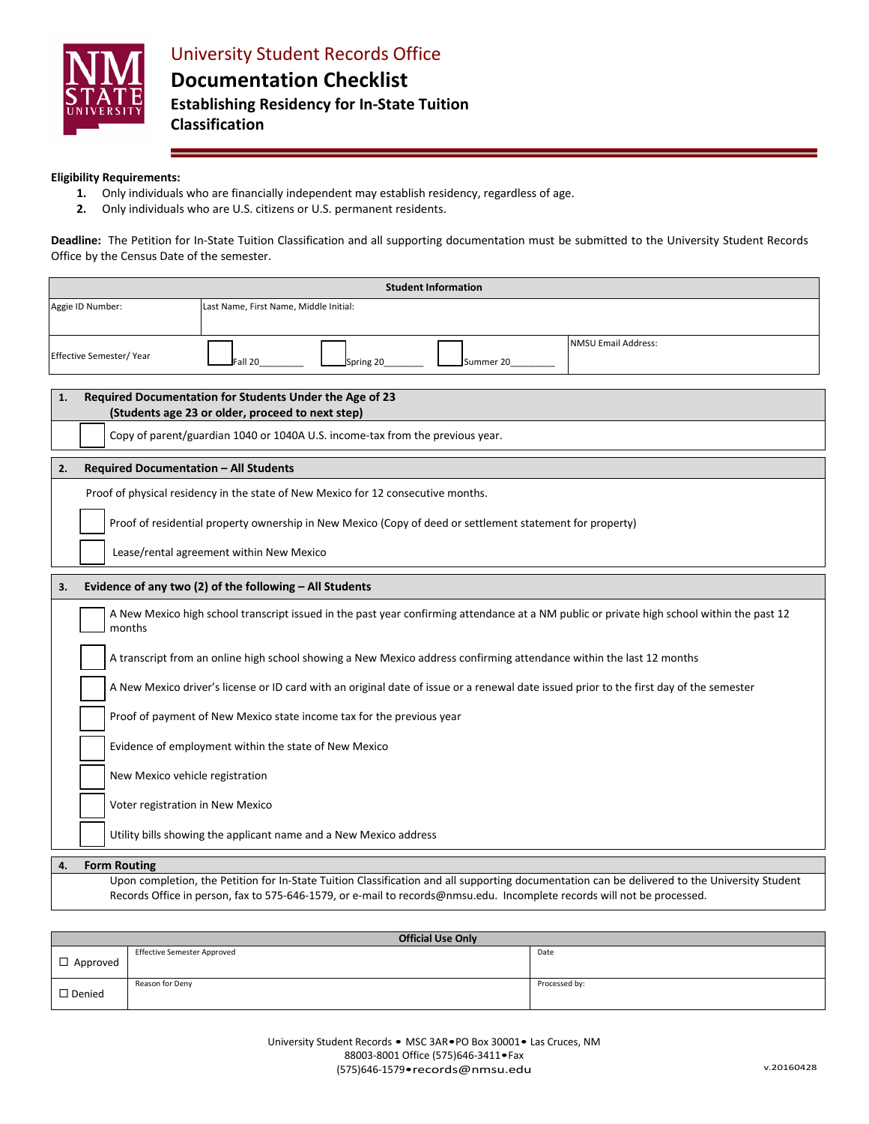

### **Classification**

### **Eligibility Requirements:**

- **1.** Only individuals who are financially independent may establish residency, regardless of age.
- **2.** Only individuals who are U.S. citizens or U.S. permanent residents.

**Deadline:** The Petition for In-State Tuition Classification and all supporting documentation must be submitted to the University Student Records Office by the Census Date of the semester.

| <b>Student Information</b>                                                                                                                                                                                                                                               |  |  |  |  |  |
|--------------------------------------------------------------------------------------------------------------------------------------------------------------------------------------------------------------------------------------------------------------------------|--|--|--|--|--|
| Aggie ID Number:<br>Last Name, First Name, Middle Initial:                                                                                                                                                                                                               |  |  |  |  |  |
| <b>NMSU Email Address:</b>                                                                                                                                                                                                                                               |  |  |  |  |  |
| Effective Semester/Year<br>Fall 20<br>Spring 20<br>Summer 20                                                                                                                                                                                                             |  |  |  |  |  |
|                                                                                                                                                                                                                                                                          |  |  |  |  |  |
| Required Documentation for Students Under the Age of 23<br>1.<br>(Students age 23 or older, proceed to next step)                                                                                                                                                        |  |  |  |  |  |
| Copy of parent/guardian 1040 or 1040A U.S. income-tax from the previous year.                                                                                                                                                                                            |  |  |  |  |  |
| <b>Required Documentation - All Students</b><br>2.                                                                                                                                                                                                                       |  |  |  |  |  |
| Proof of physical residency in the state of New Mexico for 12 consecutive months.                                                                                                                                                                                        |  |  |  |  |  |
| Proof of residential property ownership in New Mexico (Copy of deed or settlement statement for property)                                                                                                                                                                |  |  |  |  |  |
| Lease/rental agreement within New Mexico                                                                                                                                                                                                                                 |  |  |  |  |  |
| Evidence of any two (2) of the following - All Students<br>3.                                                                                                                                                                                                            |  |  |  |  |  |
| A New Mexico high school transcript issued in the past year confirming attendance at a NM public or private high school within the past 12<br>months                                                                                                                     |  |  |  |  |  |
| A transcript from an online high school showing a New Mexico address confirming attendance within the last 12 months                                                                                                                                                     |  |  |  |  |  |
| A New Mexico driver's license or ID card with an original date of issue or a renewal date issued prior to the first day of the semester                                                                                                                                  |  |  |  |  |  |
| Proof of payment of New Mexico state income tax for the previous year                                                                                                                                                                                                    |  |  |  |  |  |
| Evidence of employment within the state of New Mexico                                                                                                                                                                                                                    |  |  |  |  |  |
| New Mexico vehicle registration                                                                                                                                                                                                                                          |  |  |  |  |  |
| Voter registration in New Mexico                                                                                                                                                                                                                                         |  |  |  |  |  |
| Utility bills showing the applicant name and a New Mexico address                                                                                                                                                                                                        |  |  |  |  |  |
| <b>Form Routing</b><br>4.                                                                                                                                                                                                                                                |  |  |  |  |  |
| Upon completion, the Petition for In-State Tuition Classification and all supporting documentation can be delivered to the University Student<br>Records Office in person, fax to 575-646-1579, or e-mail to records@nmsu.edu. Incomplete records will not be processed. |  |  |  |  |  |

| <b>Official Use Only</b> |                                    |               |  |  |
|--------------------------|------------------------------------|---------------|--|--|
| $\Box$ Approved          | <b>Effective Semester Approved</b> | Date          |  |  |
| $\square$ Denied         | Reason for Deny                    | Processed by: |  |  |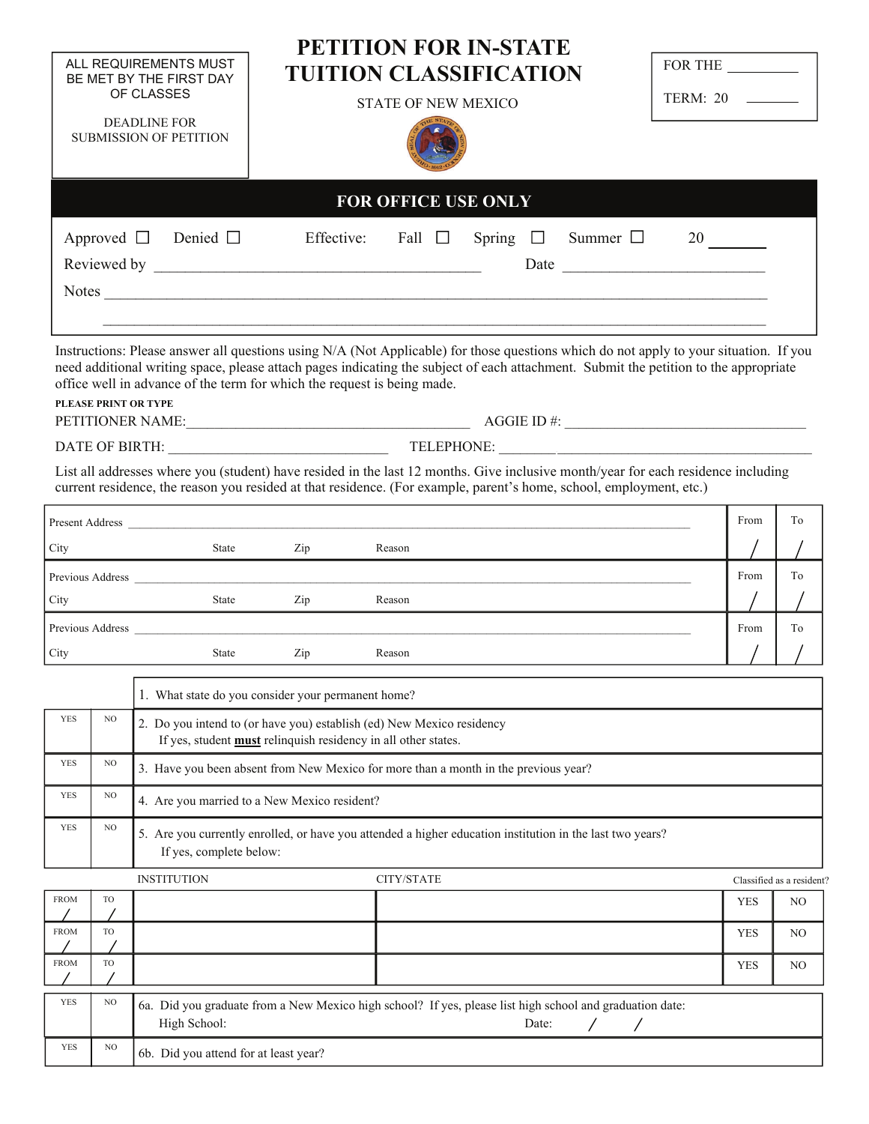|                               |                     |                                                                                                                                                                                                                                                                                                                                                                                                                                                                                                                       |                                                                                                          | <b>PETITION FOR IN-STATE</b> |  |               |                  |               |  |            |                           |
|-------------------------------|---------------------|-----------------------------------------------------------------------------------------------------------------------------------------------------------------------------------------------------------------------------------------------------------------------------------------------------------------------------------------------------------------------------------------------------------------------------------------------------------------------------------------------------------------------|----------------------------------------------------------------------------------------------------------|------------------------------|--|---------------|------------------|---------------|--|------------|---------------------------|
|                               |                     | ALL REQUIREMENTS MUST<br>BE MET BY THE FIRST DAY                                                                                                                                                                                                                                                                                                                                                                                                                                                                      | <b>TUITION CLASSIFICATION</b>                                                                            |                              |  |               | FOR THE          |               |  |            |                           |
|                               |                     | OF CLASSES                                                                                                                                                                                                                                                                                                                                                                                                                                                                                                            | <b>STATE OF NEW MEXICO</b>                                                                               |                              |  |               | TERM: 20 _______ |               |  |            |                           |
|                               | <b>DEADLINE FOR</b> |                                                                                                                                                                                                                                                                                                                                                                                                                                                                                                                       |                                                                                                          |                              |  |               |                  |               |  |            |                           |
| <b>SUBMISSION OF PETITION</b> |                     |                                                                                                                                                                                                                                                                                                                                                                                                                                                                                                                       |                                                                                                          |                              |  |               |                  |               |  |            |                           |
|                               |                     |                                                                                                                                                                                                                                                                                                                                                                                                                                                                                                                       |                                                                                                          |                              |  |               |                  |               |  |            |                           |
|                               |                     |                                                                                                                                                                                                                                                                                                                                                                                                                                                                                                                       |                                                                                                          | <b>FOR OFFICE USE ONLY</b>   |  |               |                  |               |  |            |                           |
|                               | Approved $\Box$     | Denied $\Box$                                                                                                                                                                                                                                                                                                                                                                                                                                                                                                         |                                                                                                          | Effective: Fall $\square$    |  | Spring $\Box$ |                  | Summer $\Box$ |  |            |                           |
|                               |                     |                                                                                                                                                                                                                                                                                                                                                                                                                                                                                                                       |                                                                                                          |                              |  |               |                  |               |  |            |                           |
|                               |                     |                                                                                                                                                                                                                                                                                                                                                                                                                                                                                                                       |                                                                                                          |                              |  |               |                  |               |  |            |                           |
|                               |                     |                                                                                                                                                                                                                                                                                                                                                                                                                                                                                                                       |                                                                                                          |                              |  |               |                  |               |  |            |                           |
|                               |                     | Instructions: Please answer all questions using N/A (Not Applicable) for those questions which do not apply to your situation. If you<br>need additional writing space, please attach pages indicating the subject of each attachment. Submit the petition to the appropriate<br>office well in advance of the term for which the request is being made.<br>PLEASE PRINT OR TYPE<br>List all addresses where you (student) have resided in the last 12 months. Give inclusive month/year for each residence including |                                                                                                          |                              |  |               |                  |               |  |            |                           |
|                               |                     | current residence, the reason you resided at that residence. (For example, parent's home, school, employment, etc.)                                                                                                                                                                                                                                                                                                                                                                                                   |                                                                                                          |                              |  |               |                  |               |  |            |                           |
|                               |                     |                                                                                                                                                                                                                                                                                                                                                                                                                                                                                                                       |                                                                                                          |                              |  |               |                  |               |  | From       | To                        |
| City                          |                     | State                                                                                                                                                                                                                                                                                                                                                                                                                                                                                                                 | Zip                                                                                                      | Reason                       |  |               |                  |               |  |            |                           |
|                               |                     | Previous Address Language and the state of the state of the state of the state of the state of the state of the state of the state of the state of the state of the state of the state of the state of the state of the state                                                                                                                                                                                                                                                                                         |                                                                                                          |                              |  |               |                  |               |  | From       | To                        |
| City                          |                     | State                                                                                                                                                                                                                                                                                                                                                                                                                                                                                                                 | Zip                                                                                                      | Reason                       |  |               |                  |               |  |            |                           |
|                               |                     | Previous Address Language and the contract of the contract of the contract of the contract of the contract of the contract of the contract of the contract of the contract of the contract of the contract of the contract of                                                                                                                                                                                                                                                                                         |                                                                                                          |                              |  |               |                  |               |  | From       | To                        |
| City                          |                     | State                                                                                                                                                                                                                                                                                                                                                                                                                                                                                                                 | Zip                                                                                                      | Reason                       |  |               |                  |               |  |            |                           |
|                               |                     |                                                                                                                                                                                                                                                                                                                                                                                                                                                                                                                       | 1. What state do you consider your permanent home?                                                       |                              |  |               |                  |               |  |            |                           |
| <b>YES</b>                    | NO                  |                                                                                                                                                                                                                                                                                                                                                                                                                                                                                                                       | 2. Do you intend to (or have you) establish (ed) New Mexico residency                                    |                              |  |               |                  |               |  |            |                           |
|                               |                     | If yes, student <b>must</b> relinquish residency in all other states.                                                                                                                                                                                                                                                                                                                                                                                                                                                 |                                                                                                          |                              |  |               |                  |               |  |            |                           |
| <b>YES</b>                    | NO                  | 3. Have you been absent from New Mexico for more than a month in the previous year?                                                                                                                                                                                                                                                                                                                                                                                                                                   |                                                                                                          |                              |  |               |                  |               |  |            |                           |
| <b>YES</b>                    | NO                  | 4. Are you married to a New Mexico resident?                                                                                                                                                                                                                                                                                                                                                                                                                                                                          |                                                                                                          |                              |  |               |                  |               |  |            |                           |
| <b>YES</b>                    | $_{\rm NO}$         | 5. Are you currently enrolled, or have you attended a higher education institution in the last two years?<br>If yes, complete below:                                                                                                                                                                                                                                                                                                                                                                                  |                                                                                                          |                              |  |               |                  |               |  |            |                           |
|                               |                     | <b>INSTITUTION</b>                                                                                                                                                                                                                                                                                                                                                                                                                                                                                                    |                                                                                                          | CITY/STATE                   |  |               |                  |               |  |            | Classified as a resident? |
| <b>FROM</b>                   | TO                  |                                                                                                                                                                                                                                                                                                                                                                                                                                                                                                                       |                                                                                                          |                              |  |               |                  |               |  | <b>YES</b> | NO                        |
| <b>FROM</b>                   | TO                  |                                                                                                                                                                                                                                                                                                                                                                                                                                                                                                                       |                                                                                                          |                              |  |               |                  |               |  | <b>YES</b> | NO.                       |
| <b>FROM</b>                   | TO                  |                                                                                                                                                                                                                                                                                                                                                                                                                                                                                                                       |                                                                                                          |                              |  |               |                  |               |  | <b>YES</b> | N <sub>O</sub>            |
|                               |                     |                                                                                                                                                                                                                                                                                                                                                                                                                                                                                                                       |                                                                                                          |                              |  |               |                  |               |  |            |                           |
| <b>YES</b>                    | $_{\rm NO}$         | High School:                                                                                                                                                                                                                                                                                                                                                                                                                                                                                                          | 6a. Did you graduate from a New Mexico high school? If yes, please list high school and graduation date: |                              |  |               | Date:            |               |  |            |                           |
| <b>YES</b>                    | $_{\rm NO}$         | 6b. Did you attend for at least year?                                                                                                                                                                                                                                                                                                                                                                                                                                                                                 |                                                                                                          |                              |  |               |                  |               |  |            |                           |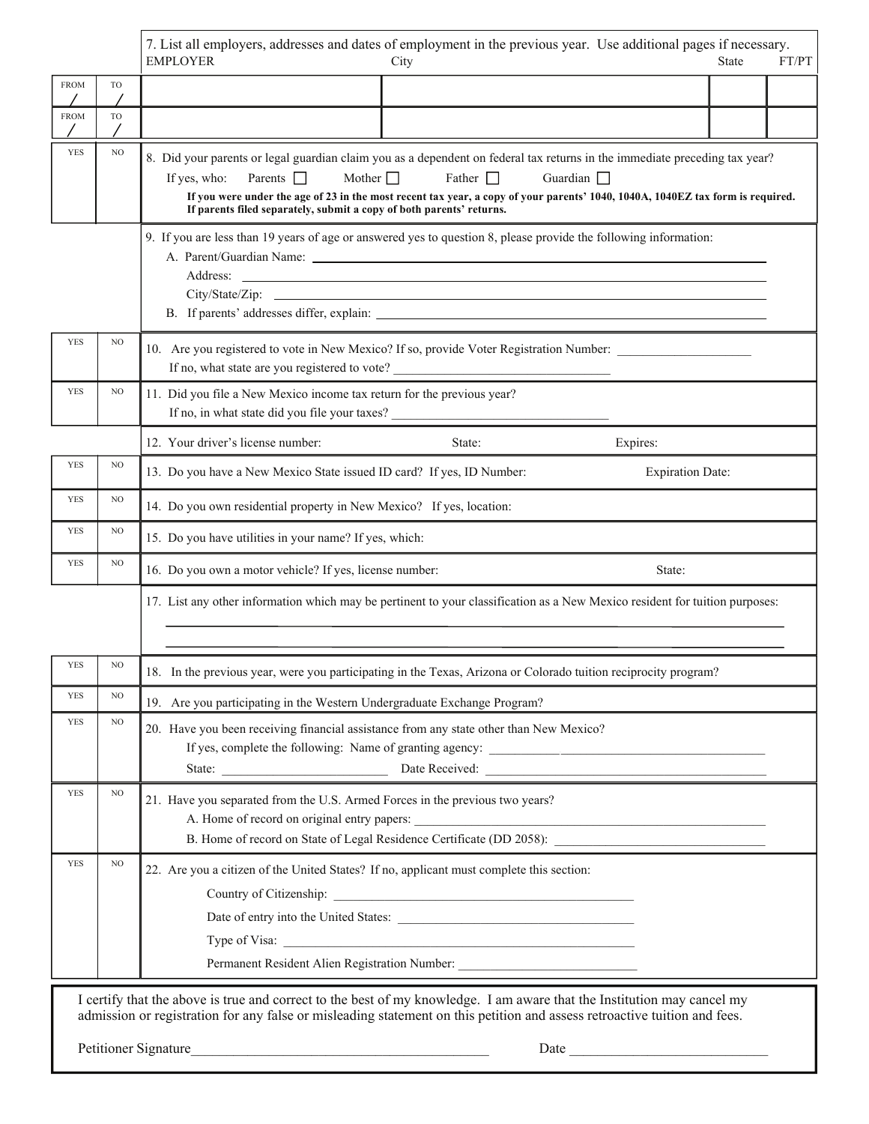7. List all employers, addresses and dates of employment in the previous year. Use additional pages if necessary.

|             |     | 7. Eist an chipioyers, addresses and dates of chipioyinem in the previous year. "Osc additional pages in necessary.<br><b>EMPLOYER</b><br>FT/PT<br>State<br>City                                                                                                                                                                                                                                                       |  |  |  |  |
|-------------|-----|------------------------------------------------------------------------------------------------------------------------------------------------------------------------------------------------------------------------------------------------------------------------------------------------------------------------------------------------------------------------------------------------------------------------|--|--|--|--|
| <b>FROM</b> | TO  |                                                                                                                                                                                                                                                                                                                                                                                                                        |  |  |  |  |
| <b>FROM</b> | TO  |                                                                                                                                                                                                                                                                                                                                                                                                                        |  |  |  |  |
| <b>YES</b>  | NO  | 8. Did your parents or legal guardian claim you as a dependent on federal tax returns in the immediate preceding tax year?<br>Mother $\Box$<br>Father $\Box$<br>Parents 1<br>Guardian $\Box$<br>If yes, who:<br>If you were under the age of 23 in the most recent tax year, a copy of your parents' 1040, 1040A, 1040EZ tax form is required.<br>If parents filed separately, submit a copy of both parents' returns. |  |  |  |  |
|             |     | 9. If you are less than 19 years of age or answered yes to question 8, please provide the following information:<br>Address:<br><u> 1989 - Johann Stoff, amerikansk politiker (d. 1989)</u>                                                                                                                                                                                                                            |  |  |  |  |
| <b>YES</b>  | NO  | 10. Are you registered to vote in New Mexico? If so, provide Voter Registration Number:<br>If no, what state are you registered to vote? __________________________________                                                                                                                                                                                                                                            |  |  |  |  |
| <b>YES</b>  | NO  | 11. Did you file a New Mexico income tax return for the previous year?<br>If no, in what state did you file your taxes?                                                                                                                                                                                                                                                                                                |  |  |  |  |
|             |     | 12. Your driver's license number:<br>State:<br>Expires:                                                                                                                                                                                                                                                                                                                                                                |  |  |  |  |
| <b>YES</b>  | NO  | 13. Do you have a New Mexico State issued ID card? If yes, ID Number:<br><b>Expiration Date:</b>                                                                                                                                                                                                                                                                                                                       |  |  |  |  |
| <b>YES</b>  | NO  | 14. Do you own residential property in New Mexico? If yes, location:                                                                                                                                                                                                                                                                                                                                                   |  |  |  |  |
| <b>YES</b>  | NO  | 15. Do you have utilities in your name? If yes, which:                                                                                                                                                                                                                                                                                                                                                                 |  |  |  |  |
| <b>YES</b>  | NO  | 16. Do you own a motor vehicle? If yes, license number:<br>State:                                                                                                                                                                                                                                                                                                                                                      |  |  |  |  |
|             |     | 17. List any other information which may be pertinent to your classification as a New Mexico resident for tuition purposes:                                                                                                                                                                                                                                                                                            |  |  |  |  |
| <b>YES</b>  | NO. | 18. In the previous year, were you participating in the Texas, Arizona or Colorado tuition reciprocity program?                                                                                                                                                                                                                                                                                                        |  |  |  |  |
| <b>YES</b>  | NO  | 19. Are you participating in the Western Undergraduate Exchange Program?                                                                                                                                                                                                                                                                                                                                               |  |  |  |  |
| <b>YES</b>  | NO  | 20. Have you been receiving financial assistance from any state other than New Mexico?<br>State: <u>Date Received:</u> Date Received: 2000 and 2000 and 2000 and 2000 and 2000 and 2000 and 2000 and 2000 and 2000 and 2000 and 2000 and 2000 and 2000 and 2000 and 2000 and 2000 and 2000 and 2000 and 2000 and 2000 and 200                                                                                          |  |  |  |  |
| <b>YES</b>  | NO  | 21. Have you separated from the U.S. Armed Forces in the previous two years?<br>B. Home of record on State of Legal Residence Certificate (DD 2058):                                                                                                                                                                                                                                                                   |  |  |  |  |
| <b>YES</b>  | NO  | 22. Are you a citizen of the United States? If no, applicant must complete this section:<br>Permanent Resident Alien Registration Number: __________________________________<br>in these and aggregation the heat of meeting and adopt. I am assemption that the Institution may                                                                                                                                       |  |  |  |  |

 I certify that the above is true and correct to the best of my knowledge. I am aware that the Institution may cancel my admission or registration for any false or misleading statement on this petition and assess retroactive tuition and fees.

Petitioner Signature\_\_\_\_\_\_\_\_\_\_\_\_\_\_\_\_\_\_\_\_\_\_\_\_\_\_\_\_\_\_\_\_\_\_\_\_\_\_\_\_\_\_ Date \_\_\_\_\_\_\_\_\_\_\_\_\_\_\_\_\_\_\_\_\_\_\_\_\_\_\_\_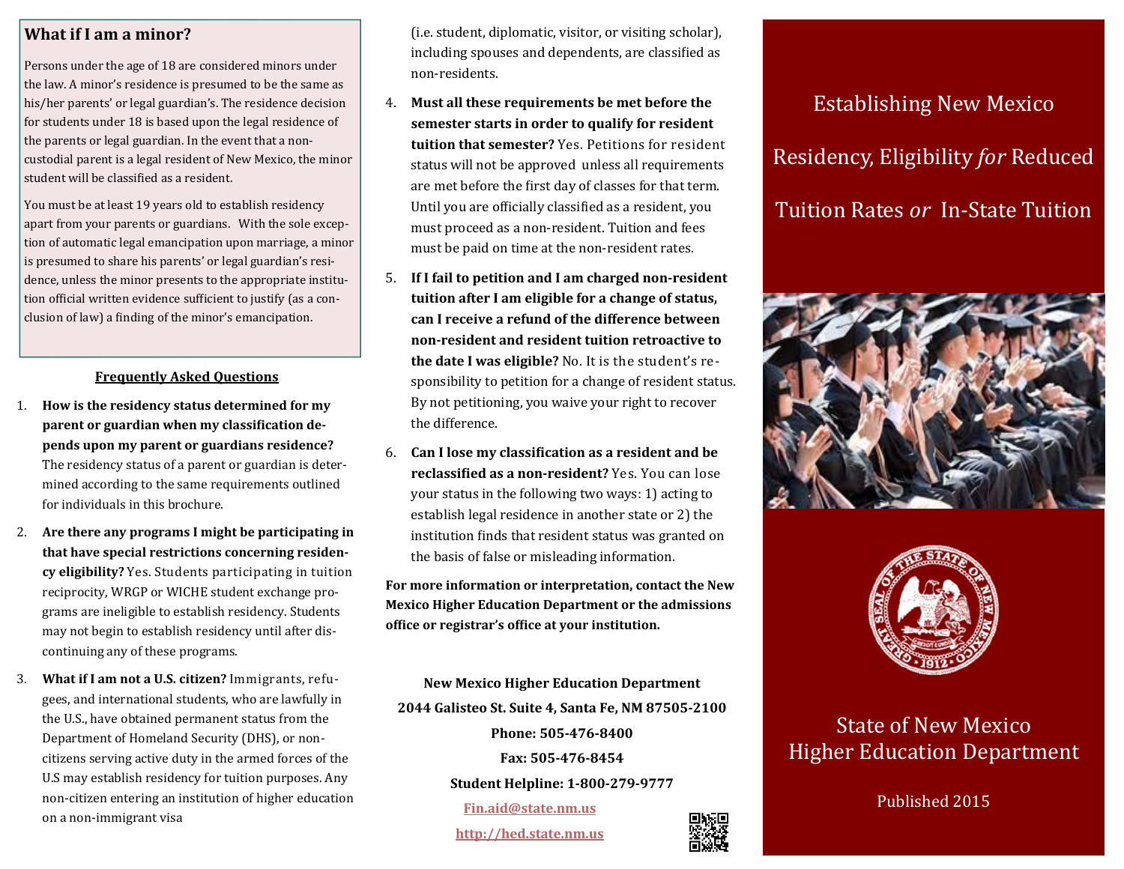### **What if I ama minor?**

Persons under the age of 18 are considered minors under the law. A minor's residence is presumed to be the same as his/her parents' or legal guardian's. The residence decision for students under 18 is based upon the legal residence of the parents or legal guardian. In the event that a noncustodial parent is a legal resident of New Mexico, the minor student will be classified as a resident.

You must be at least 19 years old to establish residency apart from your parents or guardians. With the sole exception of automatic legal emancipation upon marriage, a minor is presumed to share his parents' or legal guardian's residence, unless the minor presents to the appropriate institution official written evidence sufficient to justify (as a conclusion of law) a finding of the minor's emancipation.

### **Frequently Asked Questions**

- 1. **How is the residency status determined for my parent** or guardian when my classification de**pends upon my parent or guardians residence?** The residency status of a parent or guardian is determined according to the same requirements outlined for individuals in this brochure.
- 2. **Are there any programs I might be participating in that have special restrictions concerning residen‐ cy eligibility?** Yes. Students participating in tuition reciprocity, WRGP or WICHE student exchange programs are ineligible to establish residency. Students may not begin to establish residency until after discontinuing any of these programs.
- 3. **What if I am not a U.S. citizen?** Immigrants, refu‐ gees, and international students, who are lawfully in the U.S., have obtained permanent status from the Department of Homeland Security (DHS), or noncitizens serving active duty in the armed forces of the U.S may establish residency for tuition purposes. Any non-citizen entering an institution of higher education on a non-immigrant visa

(i.e. student, diplomatic, visitor, or visiting scholar), including spouses and dependents, are classified as non‐residents. 

- 4. **Must all these requirements be met before the semester starts in order to qualify for resident tuition that semester?** Yes. Petitions for resident status will not be approved unless all requirements are met before the first day of classes for that term. Until you are officially classified as a resident, you must proceed as a non-resident. Tuition and fees must be paid on time at the non-resident rates.
- 5. **If I fail to petition and I am charged non‐resident tuition after I am eligible for a change of status, can I receive a refund of the difference betweennon‐resident and resident tuition retroactive to the date I was eligible?** No. It is the student's re‐ sponsibility to petition for a change of resident status. By not petitioning, you waive your right to recover the difference.
- 6. **Can I lose my classiϐication as a resident and be reclassiϐied as a non‐resident?** Yes. You can lose your status in the following two ways: 1) acting to establish legal residence in another state or 2) the institution finds that resident status was granted on the basis of false or misleading information.

**For more information or interpretation, contact the New Mexico Higher Education Department or the admissions ofϐice or registrar's ofϐice at your institution.**

**New Mexico Higher Education Department 2044 Galisteo St. Suite 4, Santa Fe, NM 87505‐2100 Phone: 505‐476‐8400Fax: 505‐476‐8454Student Helpline: 1‐800‐279‐9777 Fin.aid@state.nm.us http://hed.state.nm.us**

# **Establishing New Mexico** Residency, Eligibility *for* Reduced Tuition Rates *or* In-State Tuition





### State of New Mexico **Higher Education Department**

Published 2015